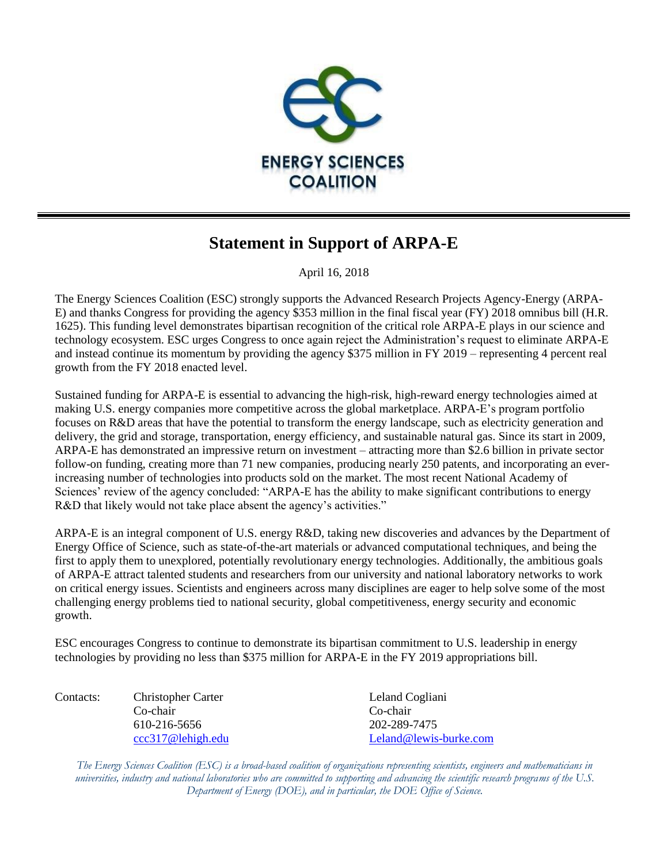

## **Statement in Support of ARPA-E**

April 16, 2018

The Energy Sciences Coalition (ESC) strongly supports the Advanced Research Projects Agency-Energy (ARPA-E) and thanks Congress for providing the agency \$353 million in the final fiscal year (FY) 2018 omnibus bill (H.R. 1625). This funding level demonstrates bipartisan recognition of the critical role ARPA-E plays in our science and technology ecosystem. ESC urges Congress to once again reject the Administration's request to eliminate ARPA-E and instead continue its momentum by providing the agency \$375 million in FY 2019 – representing 4 percent real growth from the FY 2018 enacted level.

Sustained funding for ARPA-E is essential to advancing the high-risk, high-reward energy technologies aimed at making U.S. energy companies more competitive across the global marketplace. ARPA-E's program portfolio focuses on R&D areas that have the potential to transform the energy landscape, such as electricity generation and delivery, the grid and storage, transportation, energy efficiency, and sustainable natural gas. Since its start in 2009, ARPA-E has demonstrated an impressive return on investment – attracting more than \$2.6 billion in private sector follow-on funding, creating more than 71 new companies, producing nearly 250 patents, and incorporating an everincreasing number of technologies into products sold on the market. The most recent National Academy of Sciences' review of the agency concluded: "ARPA-E has the ability to make significant contributions to energy R&D that likely would not take place absent the agency's activities."

ARPA-E is an integral component of U.S. energy R&D, taking new discoveries and advances by the Department of Energy Office of Science, such as state-of-the-art materials or advanced computational techniques, and being the first to apply them to unexplored, potentially revolutionary energy technologies. Additionally, the ambitious goals of ARPA-E attract talented students and researchers from our university and national laboratory networks to work on critical energy issues. Scientists and engineers across many disciplines are eager to help solve some of the most challenging energy problems tied to national security, global competitiveness, energy security and economic growth.

ESC encourages Congress to continue to demonstrate its bipartisan commitment to U.S. leadership in energy technologies by providing no less than \$375 million for ARPA-E in the FY 2019 appropriations bill.

Contacts: Christopher Carter Leland Cogliani Co-chair Co-chair 610-216-5656 202-289-7475

[ccc317@lehigh.edu](mailto:ccc317@lehigh.edu) [Leland@lewis-burke.com](mailto:Leland@lewis-burke.com)

*The Energy Sciences Coalition (ESC) is a broad-based coalition of organizations representing scientists, engineers and mathematicians in universities, industry and national laboratories who are committed to supporting and advancing the scientific research programs of the U.S. Department of Energy (DOE), and in particular, the DOE Office of Science.*